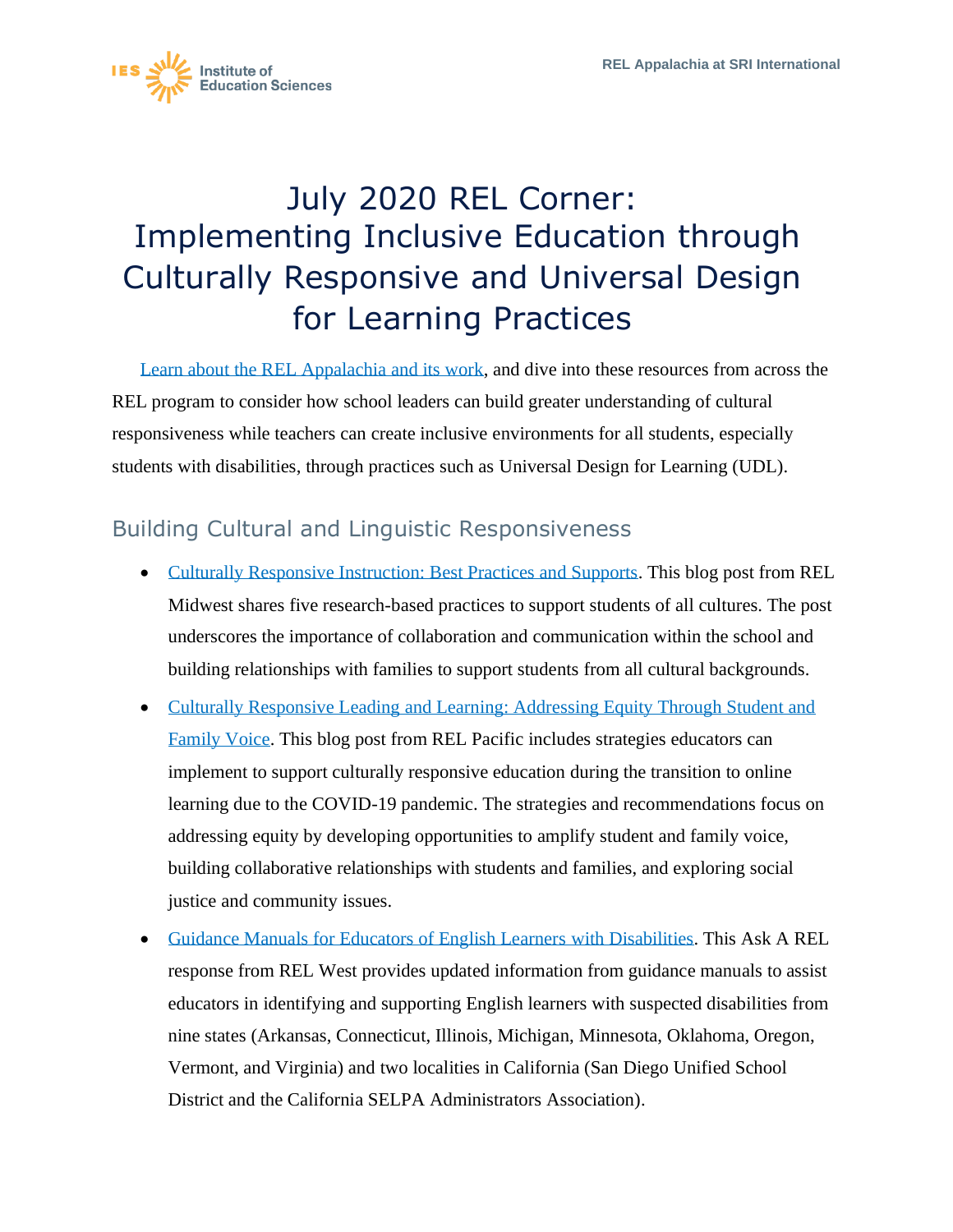

## July 2020 REL Corner: Implementing Inclusive Education through Culturally Responsive and Universal Design for Learning Practices

[Learn about the REL Appalachia and its work,](https://ies.ed.gov/ncee/edlabs/regions/appalachia/) and dive into these resources from across the REL program to consider how school leaders can build greater understanding of cultural responsiveness while teachers can create inclusive environments for all students, especially students with disabilities, through practices such as Universal Design for Learning (UDL).

## Building Cultural and Linguistic Responsiveness

- [Culturally Responsive Instruction: Best Practices and Supports.](https://ies.ed.gov/ncee/edlabs/regions/midwest/blogs/culturally-responsive-instruction-best-practices.aspx) This blog post from REL Midwest shares five research-based practices to support students of all cultures. The post underscores the importance of collaboration and communication within the school and building relationships with families to support students from all cultural backgrounds.
- [Culturally Responsive Leading and Learning: Addressing Equity Through Student and](https://ies.ed.gov/ncee/edlabs/regions/pacific/blogs/blog27_culturally-responsive-leading-and-learning_addressing-equity.asp)  [Family Voice.](https://ies.ed.gov/ncee/edlabs/regions/pacific/blogs/blog27_culturally-responsive-leading-and-learning_addressing-equity.asp) This blog post from REL Pacific includes strategies educators can implement to support culturally responsive education during the transition to online learning due to the COVID-19 pandemic. The strategies and recommendations focus on addressing equity by developing opportunities to amplify student and family voice, building collaborative relationships with students and families, and exploring social justice and community issues.
- [Guidance Manuals for Educators of English Learners with Disabilities.](https://ies.ed.gov/ncee/edlabs/regions/west/Ask/Details/68) This Ask A REL response from REL West provides updated information from guidance manuals to assist educators in identifying and supporting English learners with suspected disabilities from nine states (Arkansas, Connecticut, Illinois, Michigan, Minnesota, Oklahoma, Oregon, Vermont, and Virginia) and two localities in California (San Diego Unified School District and the California SELPA Administrators Association).